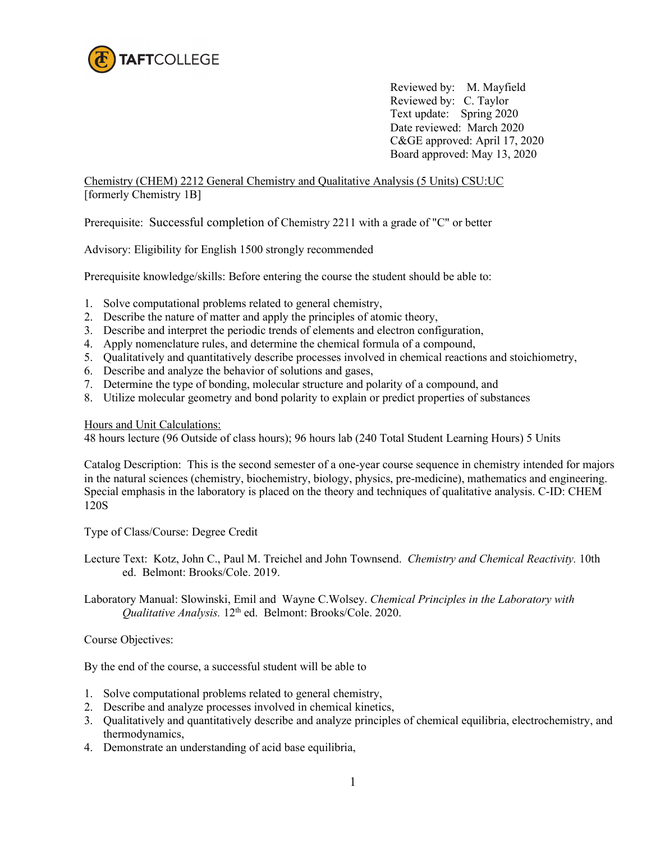

Reviewed by: M. Mayfield Reviewed by: C. Taylor Text update: Spring 2020 Date reviewed: March 2020 C&GE approved: April 17, 2020 Board approved: May 13, 2020

Chemistry (CHEM) 2212 General Chemistry and Qualitative Analysis (5 Units) CSU:UC [formerly Chemistry 1B]

Prerequisite: Successful completion of Chemistry 2211 with a grade of "C" or better

Advisory: Eligibility for English 1500 strongly recommended

Prerequisite knowledge/skills: Before entering the course the student should be able to:

- 1. Solve computational problems related to general chemistry,
- 2. Describe the nature of matter and apply the principles of atomic theory,
- 3. Describe and interpret the periodic trends of elements and electron configuration,
- 4. Apply nomenclature rules, and determine the chemical formula of a compound,
- 5. Qualitatively and quantitatively describe processes involved in chemical reactions and stoichiometry,
- 6. Describe and analyze the behavior of solutions and gases,
- 7. Determine the type of bonding, molecular structure and polarity of a compound, and
- 8. Utilize molecular geometry and bond polarity to explain or predict properties of substances

Hours and Unit Calculations:

48 hours lecture (96 Outside of class hours); 96 hours lab (240 Total Student Learning Hours) 5 Units

Catalog Description: This is the second semester of a one-year course sequence in chemistry intended for majors in the natural sciences (chemistry, biochemistry, biology, physics, pre-medicine), mathematics and engineering. Special emphasis in the laboratory is placed on the theory and techniques of qualitative analysis. C-ID: CHEM 120S

Type of Class/Course: Degree Credit

Lecture Text: Kotz, John C., Paul M. Treichel and John Townsend. *Chemistry and Chemical Reactivity.* 10th ed. Belmont: Brooks/Cole. 2019.

Laboratory Manual: Slowinski, Emil and Wayne C.Wolsey. *Chemical Principles in the Laboratory with Qualitative Analysis.* 12<sup>th</sup> ed. Belmont: Brooks/Cole. 2020.

Course Objectives:

By the end of the course, a successful student will be able to

- 1. Solve computational problems related to general chemistry,
- 2. Describe and analyze processes involved in chemical kinetics,
- 3. Qualitatively and quantitatively describe and analyze principles of chemical equilibria, electrochemistry, and thermodynamics,
- 4. Demonstrate an understanding of acid base equilibria,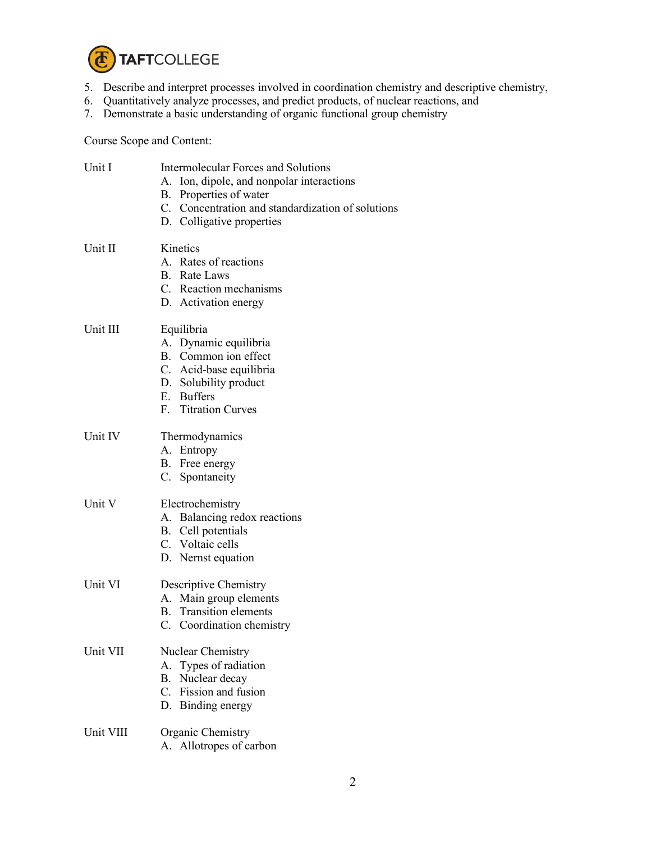

- 5. Describe and interpret processes involved in coordination chemistry and descriptive chemistry,
- 6. Quantitatively analyze processes, and predict products, of nuclear reactions, and
- 7. Demonstrate a basic understanding of organic functional group chemistry

Course Scope and Content:

| Unit I    | <b>Intermolecular Forces and Solutions</b><br>A. Ion, dipole, and nonpolar interactions |  |  |
|-----------|-----------------------------------------------------------------------------------------|--|--|
|           | B. Properties of water                                                                  |  |  |
|           | C. Concentration and standardization of solutions                                       |  |  |
|           | D. Colligative properties                                                               |  |  |
| Unit II   | Kinetics                                                                                |  |  |
|           | A. Rates of reactions                                                                   |  |  |
|           | <b>B.</b> Rate Laws                                                                     |  |  |
|           | C. Reaction mechanisms                                                                  |  |  |
|           | D. Activation energy                                                                    |  |  |
| Unit III  | Equilibria                                                                              |  |  |
|           | A. Dynamic equilibria                                                                   |  |  |
|           | B. Common ion effect                                                                    |  |  |
|           | C. Acid-base equilibria                                                                 |  |  |
|           | D. Solubility product                                                                   |  |  |
|           | E. Buffers                                                                              |  |  |
|           | F. Titration Curves                                                                     |  |  |
| Unit IV   | Thermodynamics                                                                          |  |  |
|           | A. Entropy                                                                              |  |  |
|           | B. Free energy                                                                          |  |  |
|           | C. Spontaneity                                                                          |  |  |
| Unit V    | Electrochemistry                                                                        |  |  |
|           | A. Balancing redox reactions                                                            |  |  |
|           | B. Cell potentials                                                                      |  |  |
|           | C. Voltaic cells                                                                        |  |  |
|           | D. Nernst equation                                                                      |  |  |
| Unit VI   | Descriptive Chemistry                                                                   |  |  |
|           | A. Main group elements                                                                  |  |  |
|           | <b>B.</b> Transition elements                                                           |  |  |
|           | C. Coordination chemistry                                                               |  |  |
| Unit VII  | Nuclear Chemistry                                                                       |  |  |
|           | A. Types of radiation                                                                   |  |  |
|           | B. Nuclear decay                                                                        |  |  |
|           | C. Fission and fusion                                                                   |  |  |
|           | D. Binding energy                                                                       |  |  |
| Unit VIII | Organic Chemistry                                                                       |  |  |
|           | A. Allotropes of carbon                                                                 |  |  |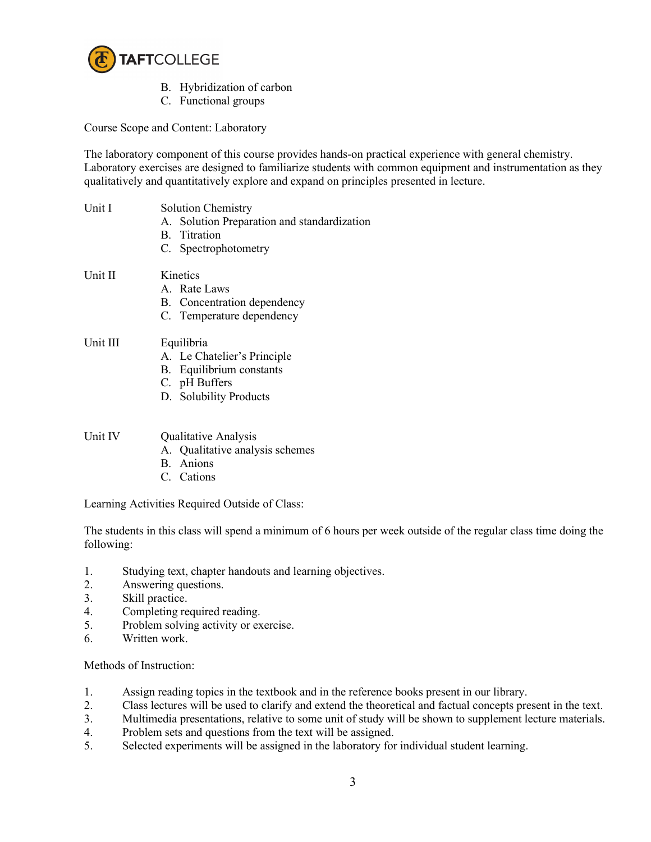

- B. Hybridization of carbon
- C. Functional groups

Course Scope and Content: Laboratory

The laboratory component of this course provides hands-on practical experience with general chemistry. Laboratory exercises are designed to familiarize students with common equipment and instrumentation as they qualitatively and quantitatively explore and expand on principles presented in lecture.

| Unit I   | <b>Solution Chemistry</b><br>A. Solution Preparation and standardization<br>B. Titration<br>C. Spectrophotometry |
|----------|------------------------------------------------------------------------------------------------------------------|
| Unit II  | Kinetics<br>A. Rate Laws<br>B. Concentration dependency<br>C. Temperature dependency                             |
| Unit III | Equilibria<br>A. Le Chatelier's Principle<br>B. Equilibrium constants<br>C. pH Buffers<br>D. Solubility Products |
| Unit IV  | Qualitative Analysis<br>A. Qualitative analysis schemes<br>B. Anions<br>C. Cations                               |

Learning Activities Required Outside of Class:

The students in this class will spend a minimum of 6 hours per week outside of the regular class time doing the following:

- 1. Studying text, chapter handouts and learning objectives.
- 2. Answering questions.
- 3. Skill practice.
- 4. Completing required reading.
- 5. Problem solving activity or exercise.
- 6. Written work.

Methods of Instruction:

- 1. Assign reading topics in the textbook and in the reference books present in our library.
- 2. Class lectures will be used to clarify and extend the theoretical and factual concepts present in the text.
- 3. Multimedia presentations, relative to some unit of study will be shown to supplement lecture materials. 4. Problem sets and questions from the text will be assigned.
- 5. Selected experiments will be assigned in the laboratory for individual student learning.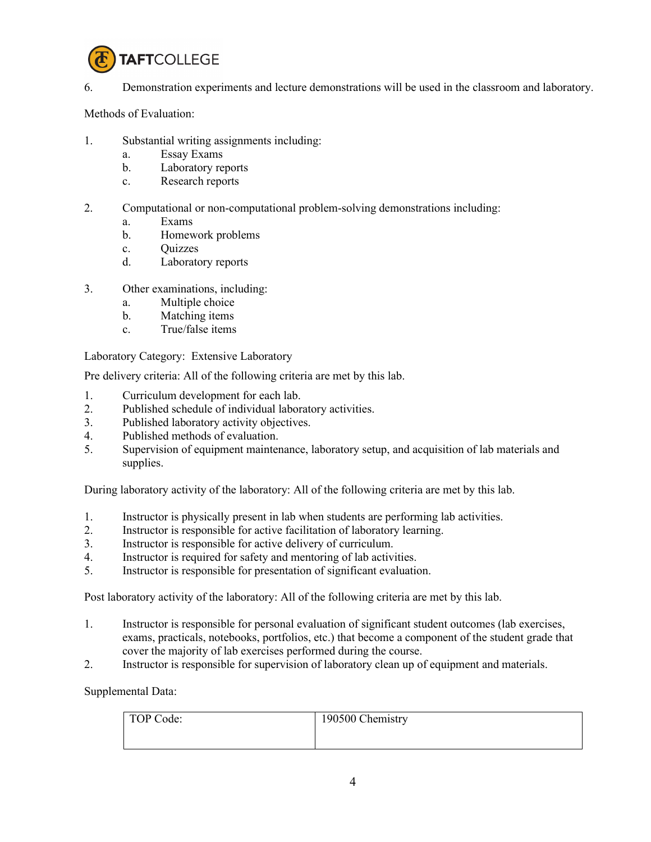

## 6. Demonstration experiments and lecture demonstrations will be used in the classroom and laboratory.

Methods of Evaluation:

- 1. Substantial writing assignments including:
	- a. Essay Exams
	- b. Laboratory reports
	- c. Research reports
- 2. Computational or non-computational problem-solving demonstrations including:
	- a. Exams
	- b. Homework problems
	- c. Quizzes
	- d. Laboratory reports
- 3. Other examinations, including:
	- a. Multiple choice
	- b. Matching items
	- c. True/false items

Laboratory Category: Extensive Laboratory

Pre delivery criteria: All of the following criteria are met by this lab.

- 1. Curriculum development for each lab.
- 2. Published schedule of individual laboratory activities.
- 3. Published laboratory activity objectives.
- 4. Published methods of evaluation.
- 5. Supervision of equipment maintenance, laboratory setup, and acquisition of lab materials and supplies.

During laboratory activity of the laboratory: All of the following criteria are met by this lab.

- 1. Instructor is physically present in lab when students are performing lab activities.
- 2. Instructor is responsible for active facilitation of laboratory learning.
- 3. Instructor is responsible for active delivery of curriculum.
- 4. Instructor is required for safety and mentoring of lab activities.
- 5. Instructor is responsible for presentation of significant evaluation.

Post laboratory activity of the laboratory: All of the following criteria are met by this lab.

- 1. Instructor is responsible for personal evaluation of significant student outcomes (lab exercises, exams, practicals, notebooks, portfolios, etc.) that become a component of the student grade that cover the majority of lab exercises performed during the course.
- 2. Instructor is responsible for supervision of laboratory clean up of equipment and materials.

Supplemental Data:

| TOP Code: | 190500 Chemistry |
|-----------|------------------|
|           |                  |